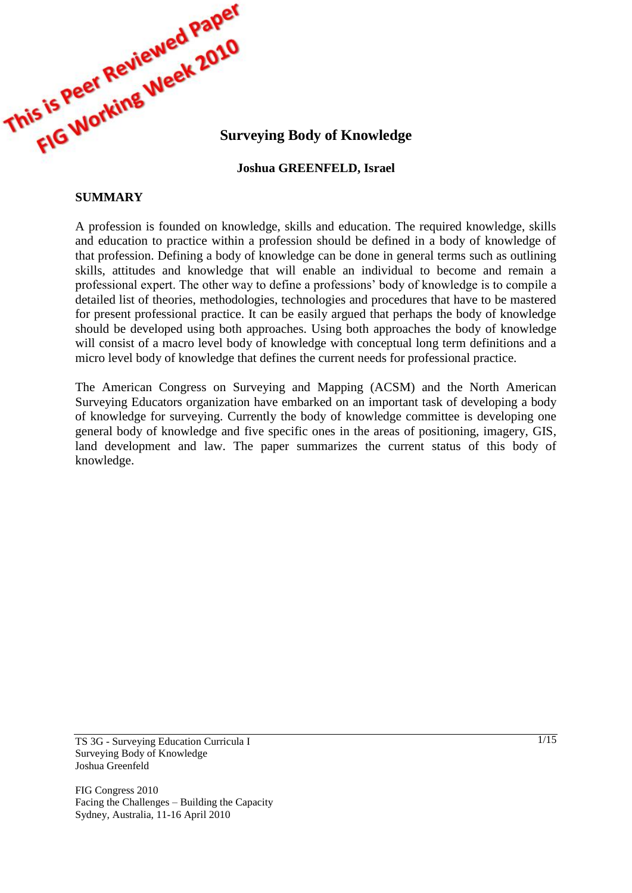

## **Joshua GREENFELD, Israel**

## **SUMMARY**

A profession is founded on knowledge, skills and education. The required knowledge, skills and education to practice within a profession should be defined in a body of knowledge of that profession. Defining a body of knowledge can be done in general terms such as outlining skills, attitudes and knowledge that will enable an individual to become and remain a professional expert. The other way to define a professions" body of knowledge is to compile a detailed list of theories, methodologies, technologies and procedures that have to be mastered for present professional practice. It can be easily argued that perhaps the body of knowledge should be developed using both approaches. Using both approaches the body of knowledge will consist of a macro level body of knowledge with conceptual long term definitions and a micro level body of knowledge that defines the current needs for professional practice.

The American Congress on Surveying and Mapping (ACSM) and the North American Surveying Educators organization have embarked on an important task of developing a body of knowledge for surveying. Currently the body of knowledge committee is developing one general body of knowledge and five specific ones in the areas of positioning, imagery, GIS, land development and law. The paper summarizes the current status of this body of knowledge.

TS 3G - Surveying Education Curricula I Surveying Body of Knowledge Joshua Greenfeld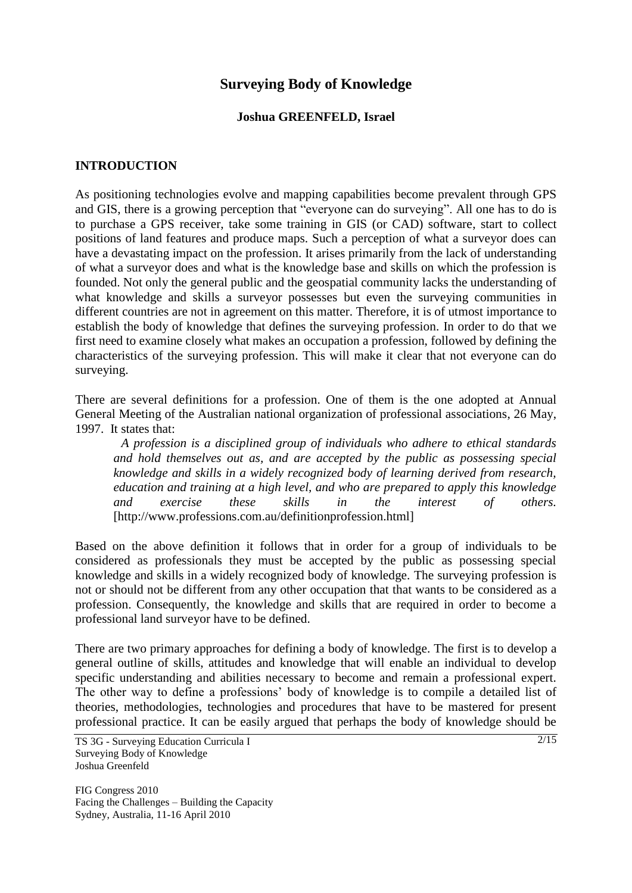# **Surveying Body of Knowledge**

## **Joshua GREENFELD, Israel**

## **INTRODUCTION**

As positioning technologies evolve and mapping capabilities become prevalent through GPS and GIS, there is a growing perception that "everyone can do surveying". All one has to do is to purchase a GPS receiver, take some training in GIS (or CAD) software, start to collect positions of land features and produce maps. Such a perception of what a surveyor does can have a devastating impact on the profession. It arises primarily from the lack of understanding of what a surveyor does and what is the knowledge base and skills on which the profession is founded. Not only the general public and the geospatial community lacks the understanding of what knowledge and skills a surveyor possesses but even the surveying communities in different countries are not in agreement on this matter. Therefore, it is of utmost importance to establish the body of knowledge that defines the surveying profession. In order to do that we first need to examine closely what makes an occupation a profession, followed by defining the characteristics of the surveying profession. This will make it clear that not everyone can do surveying.

There are several definitions for a profession. One of them is the one adopted at Annual General Meeting of the Australian national organization of professional associations, 26 May, 1997. It states that:

*A profession is a disciplined group of individuals who adhere to ethical standards and hold themselves out as, and are accepted by the public as possessing special knowledge and skills in a widely recognized body of learning derived from research, education and training at a high level, and who are prepared to apply this knowledge and exercise these skills in the interest of others.* [http://www.professions.com.au/definitionprofession.html]

Based on the above definition it follows that in order for a group of individuals to be considered as professionals they must be accepted by the public as possessing special knowledge and skills in a widely recognized body of knowledge. The surveying profession is not or should not be different from any other occupation that that wants to be considered as a profession. Consequently, the knowledge and skills that are required in order to become a professional land surveyor have to be defined.

There are two primary approaches for defining a body of knowledge. The first is to develop a general outline of skills, attitudes and knowledge that will enable an individual to develop specific understanding and abilities necessary to become and remain a professional expert. The other way to define a professions" body of knowledge is to compile a detailed list of theories, methodologies, technologies and procedures that have to be mastered for present professional practice. It can be easily argued that perhaps the body of knowledge should be

TS 3G - Surveying Education Curricula I Surveying Body of Knowledge Joshua Greenfeld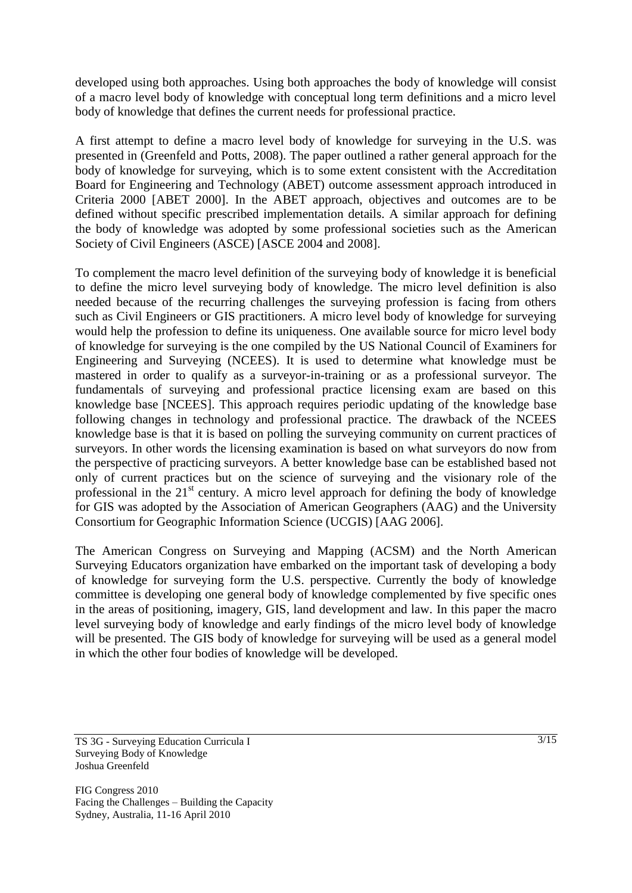developed using both approaches. Using both approaches the body of knowledge will consist of a macro level body of knowledge with conceptual long term definitions and a micro level body of knowledge that defines the current needs for professional practice.

A first attempt to define a macro level body of knowledge for surveying in the U.S. was presented in (Greenfeld and Potts, 2008). The paper outlined a rather general approach for the body of knowledge for surveying, which is to some extent consistent with the Accreditation Board for Engineering and Technology (ABET) outcome assessment approach introduced in Criteria 2000 [ABET 2000]. In the ABET approach, objectives and outcomes are to be defined without specific prescribed implementation details. A similar approach for defining the body of knowledge was adopted by some professional societies such as the American Society of Civil Engineers (ASCE) [ASCE 2004 and 2008].

To complement the macro level definition of the surveying body of knowledge it is beneficial to define the micro level surveying body of knowledge. The micro level definition is also needed because of the recurring challenges the surveying profession is facing from others such as Civil Engineers or GIS practitioners. A micro level body of knowledge for surveying would help the profession to define its uniqueness. One available source for micro level body of knowledge for surveying is the one compiled by the US National Council of Examiners for Engineering and Surveying (NCEES). It is used to determine what knowledge must be mastered in order to qualify as a surveyor-in-training or as a professional surveyor. The fundamentals of surveying and professional practice licensing exam are based on this knowledge base [NCEES]. This approach requires periodic updating of the knowledge base following changes in technology and professional practice. The drawback of the NCEES knowledge base is that it is based on polling the surveying community on current practices of surveyors. In other words the licensing examination is based on what surveyors do now from the perspective of practicing surveyors. A better knowledge base can be established based not only of current practices but on the science of surveying and the visionary role of the professional in the  $21<sup>st</sup>$  century. A micro level approach for defining the body of knowledge for GIS was adopted by the Association of American Geographers (AAG) and the University Consortium for Geographic Information Science (UCGIS) [AAG 2006].

The American Congress on Surveying and Mapping (ACSM) and the North American Surveying Educators organization have embarked on the important task of developing a body of knowledge for surveying form the U.S. perspective. Currently the body of knowledge committee is developing one general body of knowledge complemented by five specific ones in the areas of positioning, imagery, GIS, land development and law. In this paper the macro level surveying body of knowledge and early findings of the micro level body of knowledge will be presented. The GIS body of knowledge for surveying will be used as a general model in which the other four bodies of knowledge will be developed.

TS 3G - Surveying Education Curricula I Surveying Body of Knowledge Joshua Greenfeld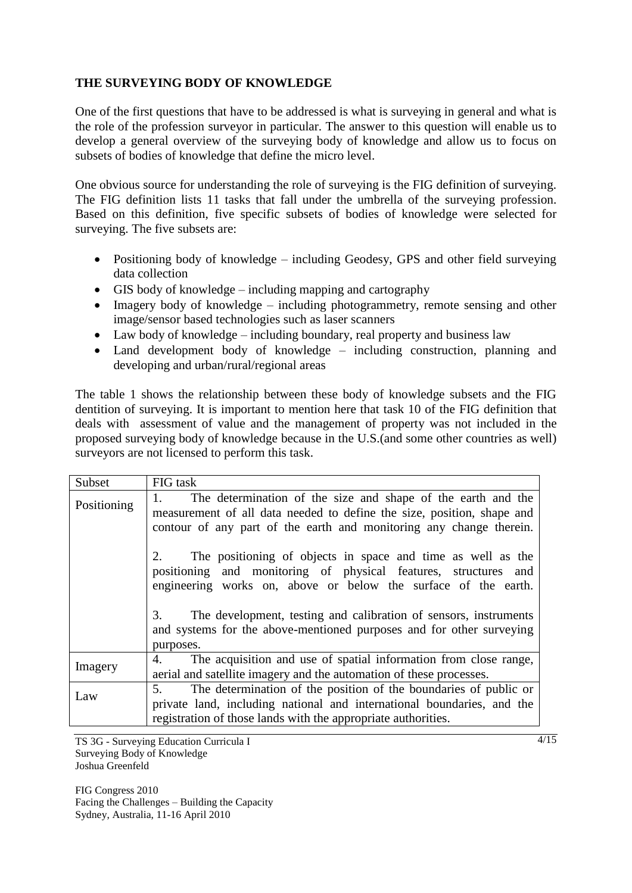# **THE SURVEYING BODY OF KNOWLEDGE**

One of the first questions that have to be addressed is what is surveying in general and what is the role of the profession surveyor in particular. The answer to this question will enable us to develop a general overview of the surveying body of knowledge and allow us to focus on subsets of bodies of knowledge that define the micro level.

One obvious source for understanding the role of surveying is the FIG definition of surveying. The FIG definition lists 11 tasks that fall under the umbrella of the surveying profession. Based on this definition, five specific subsets of bodies of knowledge were selected for surveying. The five subsets are:

- Positioning body of knowledge including Geodesy, GPS and other field surveying data collection
- GIS body of knowledge including mapping and cartography
- Imagery body of knowledge including photogrammetry, remote sensing and other image/sensor based technologies such as laser scanners
- Law body of knowledge including boundary, real property and business law
- Land development body of knowledge including construction, planning and developing and urban/rural/regional areas

The table 1 shows the relationship between these body of knowledge subsets and the FIG dentition of surveying. It is important to mention here that task 10 of the FIG definition that deals with assessment of value and the management of property was not included in the proposed surveying body of knowledge because in the U.S.(and some other countries as well) surveyors are not licensed to perform this task.

| Subset      | FIG task                                                                                                                                                                                                            |
|-------------|---------------------------------------------------------------------------------------------------------------------------------------------------------------------------------------------------------------------|
| Positioning | The determination of the size and shape of the earth and the<br>1.<br>measurement of all data needed to define the size, position, shape and<br>contour of any part of the earth and monitoring any change therein. |
|             | The positioning of objects in space and time as well as the<br>positioning and monitoring of physical features, structures and<br>engineering works on, above or below the surface of the earth.                    |
|             | The development, testing and calibration of sensors, instruments<br>3.<br>and systems for the above-mentioned purposes and for other surveying<br>purposes.                                                         |
| Imagery     | The acquisition and use of spatial information from close range,<br>4.<br>aerial and satellite imagery and the automation of these processes.                                                                       |
| Law         | The determination of the position of the boundaries of public or<br>5.<br>private land, including national and international boundaries, and the                                                                    |
|             | registration of those lands with the appropriate authorities.                                                                                                                                                       |

TS 3G - Surveying Education Curricula I Surveying Body of Knowledge Joshua Greenfeld

FIG Congress 2010 Facing the Challenges – Building the Capacity Sydney, Australia, 11-16 April 2010

4/15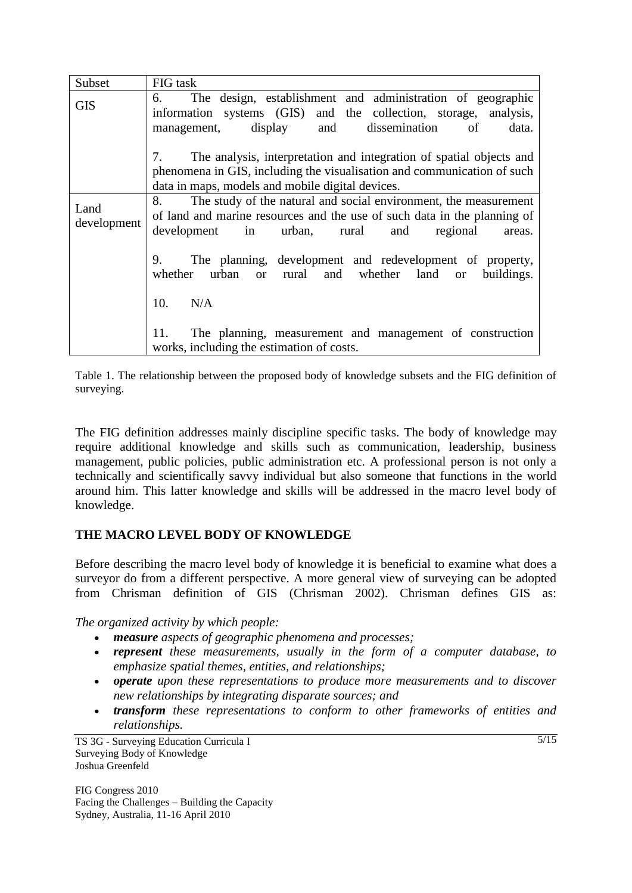| Subset              | FIG task                                                                                                                                                                                                                                                                         |
|---------------------|----------------------------------------------------------------------------------------------------------------------------------------------------------------------------------------------------------------------------------------------------------------------------------|
| <b>GIS</b>          | The design, establishment and administration of geographic<br>6.<br>information systems (GIS) and the collection, storage, analysis,<br>display and dissemination<br>of<br>data.<br>management,                                                                                  |
|                     | The analysis, interpretation and integration of spatial objects and<br>phenomena in GIS, including the visualisation and communication of such<br>data in maps, models and mobile digital devices.                                                                               |
| Land<br>development | The study of the natural and social environment, the measurement<br>8.<br>of land and marine resources and the use of such data in the planning of<br>development in urban, rural<br>and<br>regional<br>areas.<br>The planning, development and redevelopment of property,<br>9. |
|                     | whether urban or rural and whether land or<br>buildings.<br>10.<br>N/A                                                                                                                                                                                                           |
|                     | The planning, measurement and management of construction<br>11.<br>works, including the estimation of costs.                                                                                                                                                                     |

Table 1. The relationship between the proposed body of knowledge subsets and the FIG definition of surveying.

The FIG definition addresses mainly discipline specific tasks. The body of knowledge may require additional knowledge and skills such as communication, leadership, business management, public policies, public administration etc. A professional person is not only a technically and scientifically savvy individual but also someone that functions in the world around him. This latter knowledge and skills will be addressed in the macro level body of knowledge.

# **THE MACRO LEVEL BODY OF KNOWLEDGE**

Before describing the macro level body of knowledge it is beneficial to examine what does a surveyor do from a different perspective. A more general view of surveying can be adopted from Chrisman definition of GIS (Chrisman 2002). Chrisman defines GIS as:

*The organized activity by which people:*

- *measure aspects of geographic phenomena and processes;*
- *represent these measurements, usually in the form of a computer database, to emphasize spatial themes, entities, and relationships;*
- *operate upon these representations to produce more measurements and to discover new relationships by integrating disparate sources; and*
- *transform these representations to conform to other frameworks of entities and relationships.*

TS 3G - Surveying Education Curricula I Surveying Body of Knowledge Joshua Greenfeld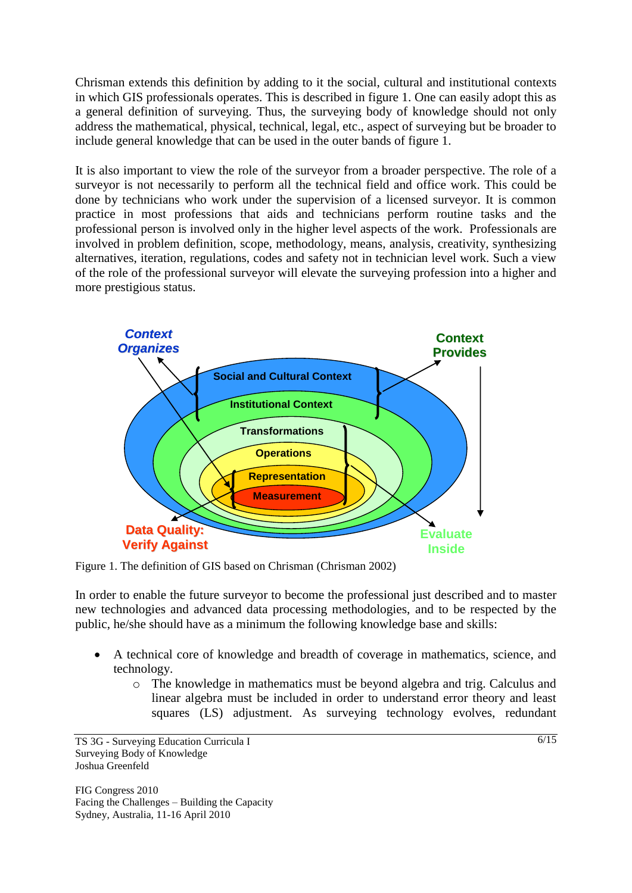Chrisman extends this definition by adding to it the social, cultural and institutional contexts in which GIS professionals operates. This is described in figure 1. One can easily adopt this as a general definition of surveying. Thus, the surveying body of knowledge should not only address the mathematical, physical, technical, legal, etc., aspect of surveying but be broader to include general knowledge that can be used in the outer bands of figure 1.

It is also important to view the role of the surveyor from a broader perspective. The role of a surveyor is not necessarily to perform all the technical field and office work. This could be done by technicians who work under the supervision of a licensed surveyor. It is common practice in most professions that aids and technicians perform routine tasks and the professional person is involved only in the higher level aspects of the work. Professionals are involved in problem definition, scope, methodology, means, analysis, creativity, synthesizing alternatives, iteration, regulations, codes and safety not in technician level work. Such a view of the role of the professional surveyor will elevate the surveying profession into a higher and more prestigious status.



Figure 1. The definition of GIS based on Chrisman (Chrisman 2002)

In order to enable the future surveyor to become the professional just described and to master new technologies and advanced data processing methodologies, and to be respected by the public, he/she should have as a minimum the following knowledge base and skills:

- A technical core of knowledge and breadth of coverage in mathematics, science, and technology.
	- o The knowledge in mathematics must be beyond algebra and trig. Calculus and linear algebra must be included in order to understand error theory and least squares (LS) adjustment. As surveying technology evolves, redundant

TS 3G - Surveying Education Curricula I Surveying Body of Knowledge Joshua Greenfeld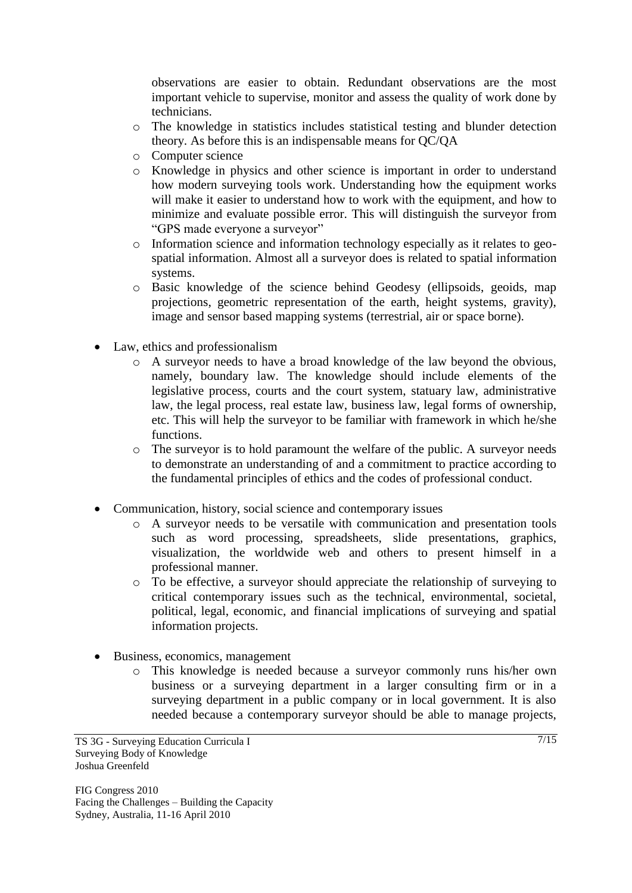observations are easier to obtain. Redundant observations are the most important vehicle to supervise, monitor and assess the quality of work done by technicians.

- o The knowledge in statistics includes statistical testing and blunder detection theory. As before this is an indispensable means for QC/QA
- o Computer science
- o Knowledge in physics and other science is important in order to understand how modern surveying tools work. Understanding how the equipment works will make it easier to understand how to work with the equipment, and how to minimize and evaluate possible error. This will distinguish the surveyor from "GPS made everyone a surveyor"
- o Information science and information technology especially as it relates to geospatial information. Almost all a surveyor does is related to spatial information systems.
- o Basic knowledge of the science behind Geodesy (ellipsoids, geoids, map projections, geometric representation of the earth, height systems, gravity), image and sensor based mapping systems (terrestrial, air or space borne).
- Law, ethics and professionalism
	- o A surveyor needs to have a broad knowledge of the law beyond the obvious, namely, boundary law. The knowledge should include elements of the legislative process, courts and the court system, statuary law, administrative law, the legal process, real estate law, business law, legal forms of ownership, etc. This will help the surveyor to be familiar with framework in which he/she functions.
	- o The surveyor is to hold paramount the welfare of the public. A surveyor needs to demonstrate an understanding of and a commitment to practice according to the fundamental principles of ethics and the codes of professional conduct.
- Communication, history, social science and contemporary issues
	- o A surveyor needs to be versatile with communication and presentation tools such as word processing, spreadsheets, slide presentations, graphics, visualization, the worldwide web and others to present himself in a professional manner.
	- o To be effective, a surveyor should appreciate the relationship of surveying to critical contemporary issues such as the technical, environmental, societal, political, legal, economic, and financial implications of surveying and spatial information projects.
- Business, economics, management
	- o This knowledge is needed because a surveyor commonly runs his/her own business or a surveying department in a larger consulting firm or in a surveying department in a public company or in local government. It is also needed because a contemporary surveyor should be able to manage projects,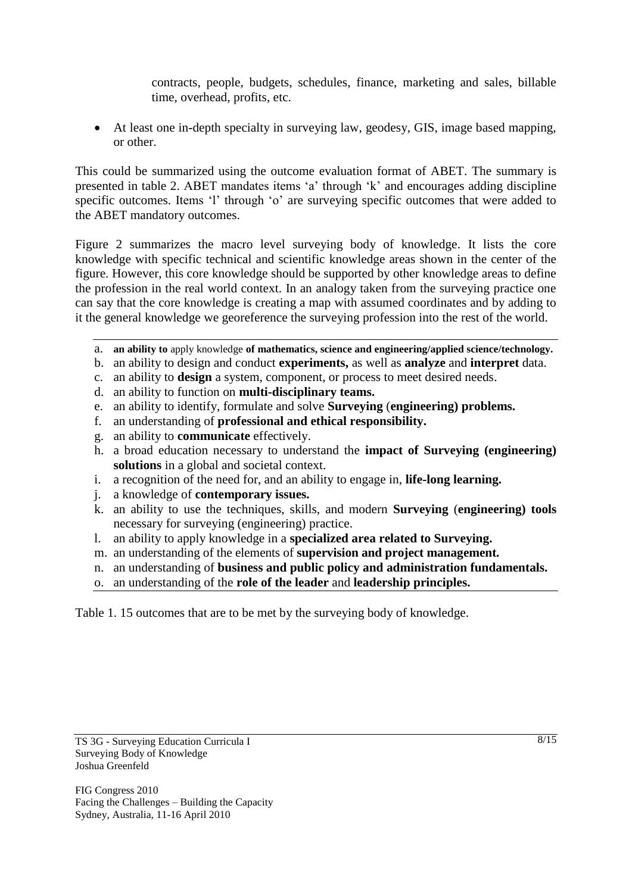contracts, people, budgets, schedules, finance, marketing and sales, billable time, overhead, profits, etc.

 At least one in-depth specialty in surveying law, geodesy, GIS, image based mapping, or other.

This could be summarized using the outcome evaluation format of ABET. The summary is presented in table 2. ABET mandates items "a" through "k" and encourages adding discipline specific outcomes. Items 'l' through 'o' are surveying specific outcomes that were added to the ABET mandatory outcomes.

Figure 2 summarizes the macro level surveying body of knowledge. It lists the core knowledge with specific technical and scientific knowledge areas shown in the center of the figure. However, this core knowledge should be supported by other knowledge areas to define the profession in the real world context. In an analogy taken from the surveying practice one can say that the core knowledge is creating a map with assumed coordinates and by adding to it the general knowledge we georeference the surveying profession into the rest of the world.

- a. **an ability to** apply knowledge **of mathematics, science and engineering/applied science/technology.**
- b. an ability to design and conduct **experiments,** as well as **analyze** and **interpret** data.
- c. an ability to **design** a system, component, or process to meet desired needs.
- d. an ability to function on **multi-disciplinary teams.**
- e. an ability to identify, formulate and solve **Surveying** (**engineering) problems.**
- f. an understanding of **professional and ethical responsibility.**
- g. an ability to **communicate** effectively.
- h. a broad education necessary to understand the **impact of Surveying (engineering) solutions** in a global and societal context.
- i. a recognition of the need for, and an ability to engage in, **life-long learning.**
- j. a knowledge of **contemporary issues.**
- k. an ability to use the techniques, skills, and modern **Surveying** (**engineering) tools**  necessary for surveying (engineering) practice.
- l. an ability to apply knowledge in a **specialized area related to Surveying.**
- m. an understanding of the elements of **supervision and project management.**
- n. an understanding of **business and public policy and administration fundamentals.**
- o. an understanding of the **role of the leader** and **leadership principles.**

Table 1. 15 outcomes that are to be met by the surveying body of knowledge.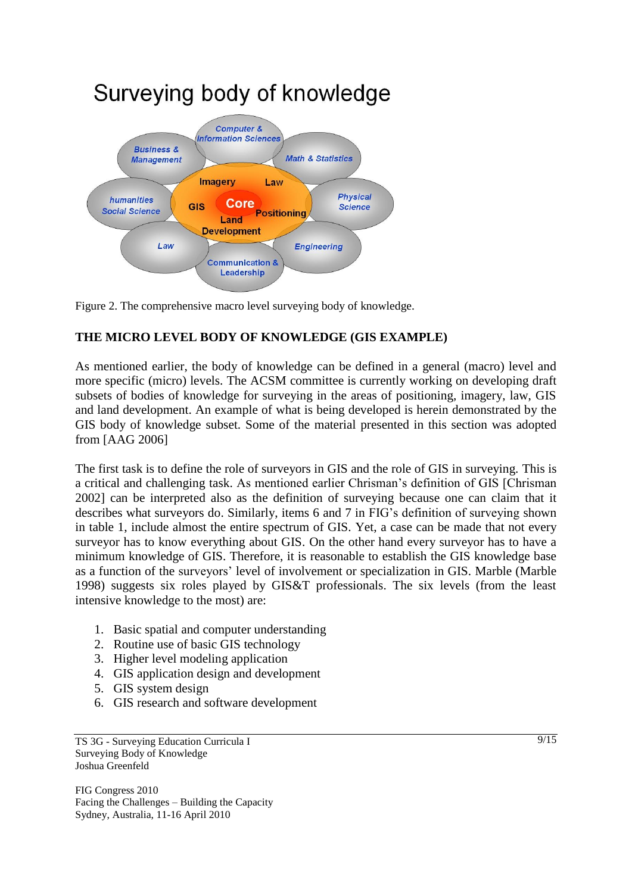

Figure 2. The comprehensive macro level surveying body of knowledge.

# **THE MICRO LEVEL BODY OF KNOWLEDGE (GIS EXAMPLE)**

As mentioned earlier, the body of knowledge can be defined in a general (macro) level and more specific (micro) levels. The ACSM committee is currently working on developing draft subsets of bodies of knowledge for surveying in the areas of positioning, imagery, law, GIS and land development. An example of what is being developed is herein demonstrated by the GIS body of knowledge subset. Some of the material presented in this section was adopted from [AAG 2006]

The first task is to define the role of surveyors in GIS and the role of GIS in surveying. This is a critical and challenging task. As mentioned earlier Chrisman"s definition of GIS [Chrisman 2002] can be interpreted also as the definition of surveying because one can claim that it describes what surveyors do. Similarly, items 6 and 7 in FIG"s definition of surveying shown in table 1, include almost the entire spectrum of GIS. Yet, a case can be made that not every surveyor has to know everything about GIS. On the other hand every surveyor has to have a minimum knowledge of GIS. Therefore, it is reasonable to establish the GIS knowledge base as a function of the surveyors" level of involvement or specialization in GIS. Marble (Marble 1998) suggests six roles played by GIS&T professionals. The six levels (from the least intensive knowledge to the most) are:

- 1. Basic spatial and computer understanding
- 2. Routine use of basic GIS technology
- 3. Higher level modeling application
- 4. GIS application design and development
- 5. GIS system design
- 6. GIS research and software development

TS 3G - Surveying Education Curricula I Surveying Body of Knowledge Joshua Greenfeld

FIG Congress 2010 Facing the Challenges – Building the Capacity Sydney, Australia, 11-16 April 2010

 $\sqrt{9/15}$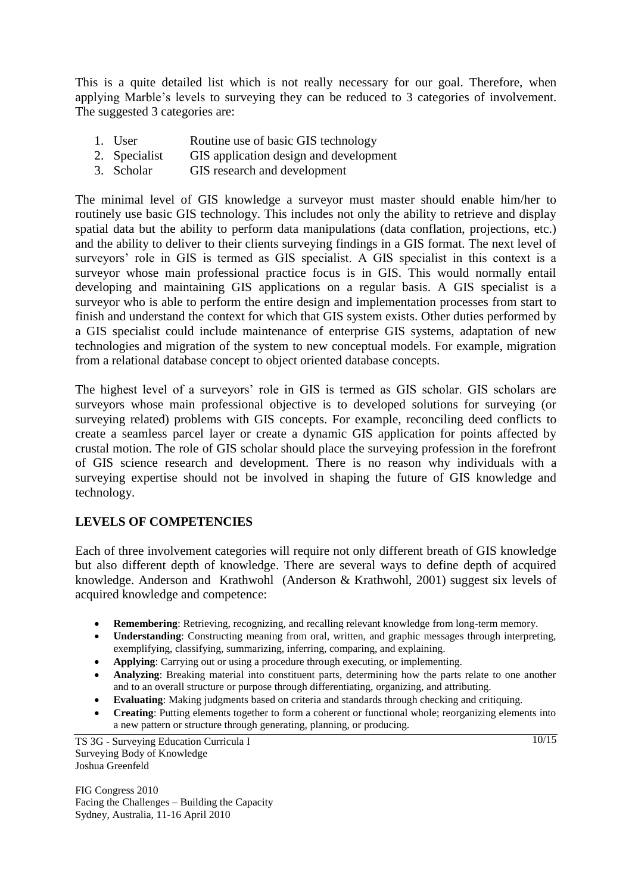This is a quite detailed list which is not really necessary for our goal. Therefore, when applying Marble"s levels to surveying they can be reduced to 3 categories of involvement. The suggested 3 categories are:

- 1. User Routine use of basic GIS technology
- 2. Specialist GIS application design and development
- 3. Scholar GIS research and development

The minimal level of GIS knowledge a surveyor must master should enable him/her to routinely use basic GIS technology. This includes not only the ability to retrieve and display spatial data but the ability to perform data manipulations (data conflation, projections, etc.) and the ability to deliver to their clients surveying findings in a GIS format. The next level of surveyors' role in GIS is termed as GIS specialist. A GIS specialist in this context is a surveyor whose main professional practice focus is in GIS. This would normally entail developing and maintaining GIS applications on a regular basis. A GIS specialist is a surveyor who is able to perform the entire design and implementation processes from start to finish and understand the context for which that GIS system exists. Other duties performed by a GIS specialist could include maintenance of enterprise GIS systems, adaptation of new technologies and migration of the system to new conceptual models. For example, migration from a relational database concept to object oriented database concepts.

The highest level of a surveyors' role in GIS is termed as GIS scholar. GIS scholars are surveyors whose main professional objective is to developed solutions for surveying (or surveying related) problems with GIS concepts. For example, reconciling deed conflicts to create a seamless parcel layer or create a dynamic GIS application for points affected by crustal motion. The role of GIS scholar should place the surveying profession in the forefront of GIS science research and development. There is no reason why individuals with a surveying expertise should not be involved in shaping the future of GIS knowledge and technology.

# **LEVELS OF COMPETENCIES**

Each of three involvement categories will require not only different breath of GIS knowledge but also different depth of knowledge. There are several ways to define depth of acquired knowledge. Anderson and Krathwohl (Anderson & Krathwohl, 2001) suggest six levels of acquired knowledge and competence:

- **Remembering**: Retrieving, recognizing, and recalling relevant knowledge from long-term memory.
- **Understanding**: Constructing meaning from oral, written, and graphic messages through interpreting, exemplifying, classifying, summarizing, inferring, comparing, and explaining.
- **Applying**: Carrying out or using a procedure through executing, or implementing.
- **Analyzing**: Breaking material into constituent parts, determining how the parts relate to one another and to an overall structure or purpose through differentiating, organizing, and attributing.
- **Evaluating**: Making judgments based on criteria and standards through checking and critiquing.
- **Creating**: Putting elements together to form a coherent or functional whole; reorganizing elements into a new pattern or structure through generating, planning, or producing.

TS 3G - Surveying Education Curricula I Surveying Body of Knowledge Joshua Greenfeld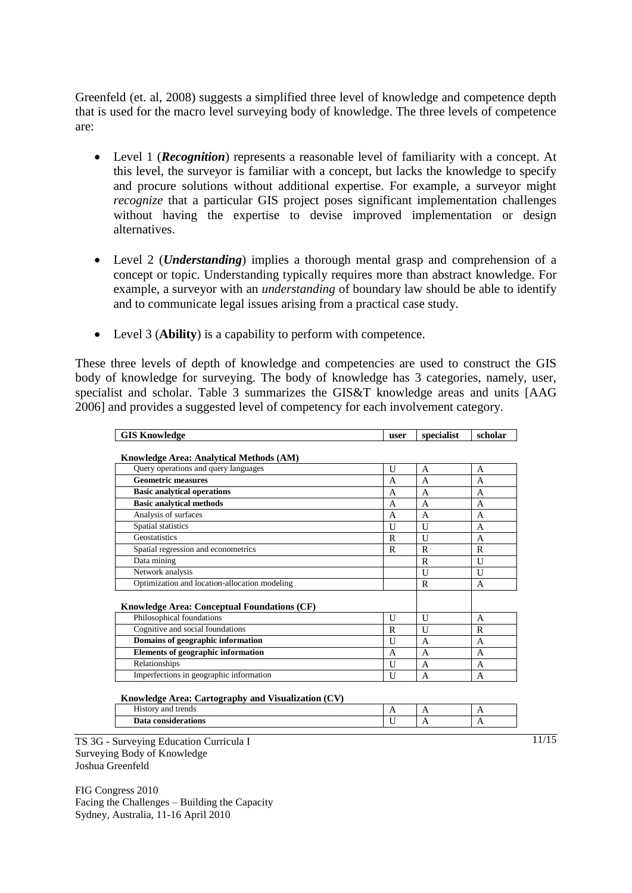Greenfeld (et. al, 2008) suggests a simplified three level of knowledge and competence depth that is used for the macro level surveying body of knowledge. The three levels of competence are:

- Level 1 (*Recognition*) represents a reasonable level of familiarity with a concept. At this level, the surveyor is familiar with a concept, but lacks the knowledge to specify and procure solutions without additional expertise. For example, a surveyor might *recognize* that a particular GIS project poses significant implementation challenges without having the expertise to devise improved implementation or design alternatives.
- Level 2 (*Understanding*) implies a thorough mental grasp and comprehension of a concept or topic. Understanding typically requires more than abstract knowledge. For example, a surveyor with an *understanding* of boundary law should be able to identify and to communicate legal issues arising from a practical case study.
- Level 3 (**Ability**) is a capability to perform with competence.

These three levels of depth of knowledge and competencies are used to construct the GIS body of knowledge for surveying. The body of knowledge has 3 categories, namely, user, specialist and scholar. Table 3 summarizes the GIS&T knowledge areas and units [AAG 2006] and provides a suggested level of competency for each involvement category.

| <b>GIS Knowledge</b>                               | user | specialist     | scholar     |
|----------------------------------------------------|------|----------------|-------------|
|                                                    |      |                |             |
| <b>Knowledge Area: Analytical Methods (AM)</b>     |      |                |             |
| Query operations and query languages               | U    | $\mathsf{A}$   | A           |
| <b>Geometric measures</b>                          | A    | A              | A           |
| <b>Basic analytical operations</b>                 | A    | A              | A           |
| <b>Basic analytical methods</b>                    | A    | A              | A           |
| Analysis of surfaces                               | A    | $\overline{A}$ | A           |
| Spatial statistics                                 | U    | U              | A           |
| Geostatistics                                      | R    | U              | A           |
| Spatial regression and econometrics                | R    | $\mathbb{R}$   | $\mathbf R$ |
| Data mining                                        |      | R              | U           |
| Network analysis                                   |      | U              | U           |
| Optimization and location-allocation modeling      |      | $\mathbb{R}$   | A           |
|                                                    |      |                |             |
| <b>Knowledge Area: Conceptual Foundations (CF)</b> |      |                |             |
| Philosophical foundations                          | U    | U              | A           |
| Cognitive and social foundations                   | R    | U              | R           |
| Domains of geographic information                  | U    | A              | A           |
| <b>Elements of geographic information</b>          | A    | A              | A           |
| Relationships                                      | U    | A              | A           |
| Imperfections in geographic information            | U    | $\overline{A}$ | A           |

**Knowledge Area: Cartography and Visualization (CV)** 

| $- - -$<br>trends<br>ano<br><b>SAFT</b><br>- ustor | . .<br>$ -$ | . . | . . |
|----------------------------------------------------|-------------|-----|-----|
| oonei<br>derations                                 | - -         | . . | . . |

TS 3G - Surveying Education Curricula I Surveying Body of Knowledge Joshua Greenfeld

FIG Congress 2010 Facing the Challenges – Building the Capacity Sydney, Australia, 11-16 April 2010

11/15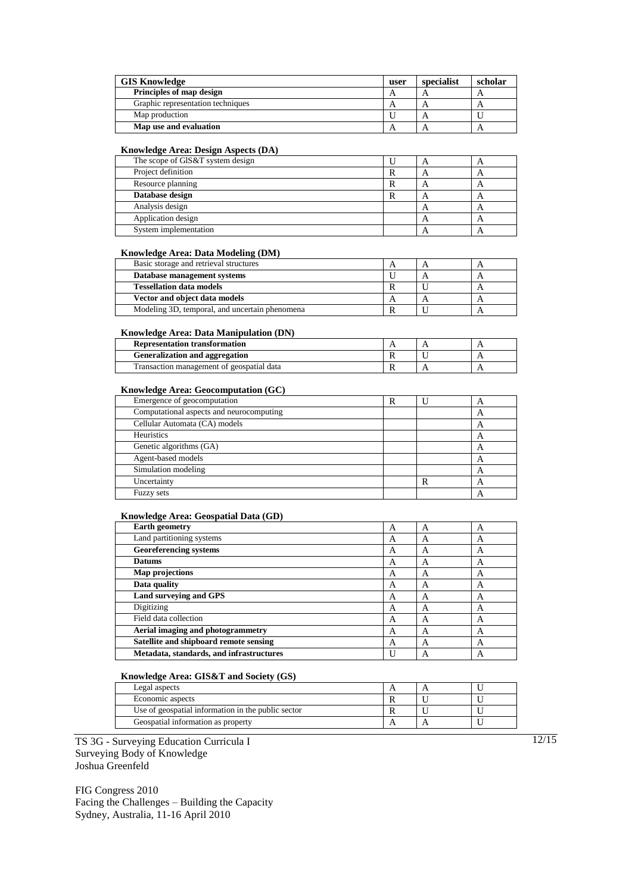| <b>GIS Knowledge</b><br>user      |  | specialist | scholar |
|-----------------------------------|--|------------|---------|
| Principles of map design          |  |            |         |
| Graphic representation techniques |  |            | A       |
| Map production                    |  |            |         |
| Map use and evaluation            |  |            | A       |

### **Knowledge Area: Design Aspects (DA)**

| The scope of GIS&T system design | A |  |
|----------------------------------|---|--|
| Project definition               |   |  |
| Resource planning                |   |  |
| Database design                  | Α |  |
| Analysis design                  | 宀 |  |
| Application design               | ⊶ |  |
| System implementation            |   |  |

#### **Knowledge Area: Data Modeling (DM)**

| Basic storage and retrieval structures         |  |  |
|------------------------------------------------|--|--|
| Database management systems                    |  |  |
| <b>Tessellation data models</b>                |  |  |
| Vector and object data models                  |  |  |
| Modeling 3D, temporal, and uncertain phenomena |  |  |

### **Knowledge Area: Data Manipulation (DN)**

| <b>Representation transformation</b>      |  |  |
|-------------------------------------------|--|--|
| <b>Generalization and aggregation</b>     |  |  |
| Transaction management of geospatial data |  |  |

### **Knowledge Area: Geocomputation (GC)**

| Emergence of geocomputation              | R | A                         |
|------------------------------------------|---|---------------------------|
| Computational aspects and neurocomputing |   | $\boldsymbol{\mathsf{A}}$ |
| Cellular Automata (CA) models            |   | A                         |
| Heuristics                               |   | A                         |
| Genetic algorithms (GA)                  |   | A                         |
| Agent-based models                       |   | A                         |
| Simulation modeling                      |   | A                         |
| Uncertainty                              |   | A                         |
| Fuzzy sets                               |   | A                         |

### **Knowledge Area: Geospatial Data (GD)**

| <b>Earth geometry</b>                    | A | А | A |
|------------------------------------------|---|---|---|
| Land partitioning systems                | А | А | A |
| <b>Georeferencing systems</b>            | А | A | A |
| <b>Datums</b>                            | А | А | A |
| Map projections                          | А | A | А |
| Data quality                             | A | А | A |
| Land surveying and GPS                   | A | A | A |
| Digitizing                               | А | А | A |
| Field data collection                    | A | Α | A |
| Aerial imaging and photogrammetry        | A | А | A |
| Satellite and shipboard remote sensing   | A | А | A |
| Metadata, standards, and infrastructures |   | А | A |

## **Knowledge Area: GIS&T and Society (GS)**

| Legal aspects                                      |  |  |
|----------------------------------------------------|--|--|
| Economic aspects                                   |  |  |
| Use of geospatial information in the public sector |  |  |
| Geospatial information as property                 |  |  |

TS 3G - Surveying Education Curricula I Surveying Body of Knowledge Joshua Greenfeld

FIG Congress 2010 Facing the Challenges – Building the Capacity Sydney, Australia, 11-16 April 2010

12/15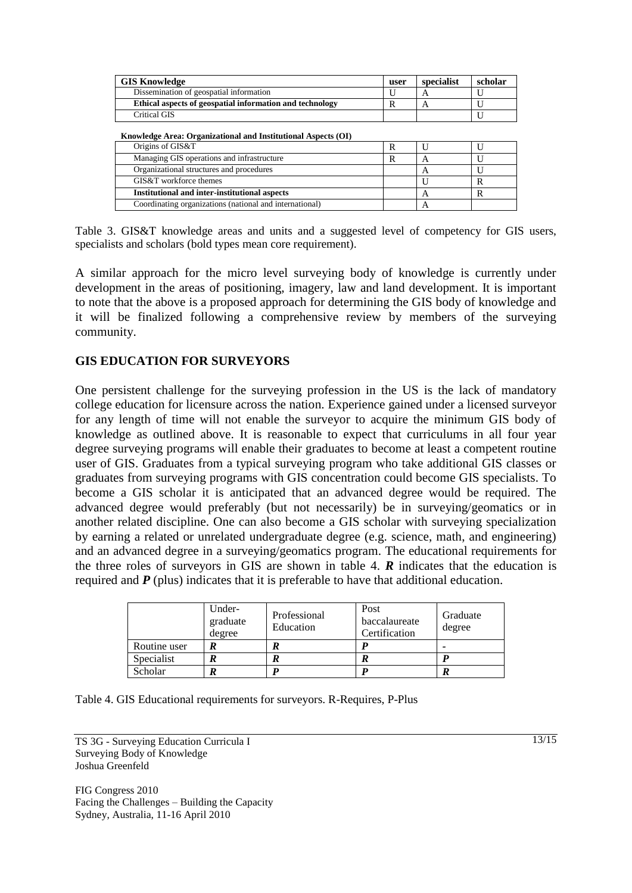| <b>GIS Knowledge</b>                                     |  | specialist | scholar |
|----------------------------------------------------------|--|------------|---------|
| Dissemination of geospatial information                  |  |            |         |
| Ethical aspects of geospatial information and technology |  |            |         |
| Critical GIS                                             |  |            |         |

**Knowledge Area: Organizational and Institutional Aspects (OI)**

| Origins of GIS&T                                        |  |  |
|---------------------------------------------------------|--|--|
| Managing GIS operations and infrastructure              |  |  |
| Organizational structures and procedures                |  |  |
| GIS&T workforce themes                                  |  |  |
| <b>Institutional and inter-institutional aspects</b>    |  |  |
| Coordinating organizations (national and international) |  |  |
|                                                         |  |  |

Table 3. GIS&T knowledge areas and units and a suggested level of competency for GIS users, specialists and scholars (bold types mean core requirement).

A similar approach for the micro level surveying body of knowledge is currently under development in the areas of positioning, imagery, law and land development. It is important to note that the above is a proposed approach for determining the GIS body of knowledge and it will be finalized following a comprehensive review by members of the surveying community.

## **GIS EDUCATION FOR SURVEYORS**

One persistent challenge for the surveying profession in the US is the lack of mandatory college education for licensure across the nation. Experience gained under a licensed surveyor for any length of time will not enable the surveyor to acquire the minimum GIS body of knowledge as outlined above. It is reasonable to expect that curriculums in all four year degree surveying programs will enable their graduates to become at least a competent routine user of GIS. Graduates from a typical surveying program who take additional GIS classes or graduates from surveying programs with GIS concentration could become GIS specialists. To become a GIS scholar it is anticipated that an advanced degree would be required. The advanced degree would preferably (but not necessarily) be in surveying/geomatics or in another related discipline. One can also become a GIS scholar with surveying specialization by earning a related or unrelated undergraduate degree (e.g. science, math, and engineering) and an advanced degree in a surveying/geomatics program. The educational requirements for the three roles of surveyors in GIS are shown in table 4. *R* indicates that the education is required and *P* (plus) indicates that it is preferable to have that additional education.

|              | Under-<br>graduate<br>degree | Professional<br>Education | Post<br>baccalaureate<br>Certification | Graduate<br>degree |
|--------------|------------------------------|---------------------------|----------------------------------------|--------------------|
| Routine user |                              |                           |                                        |                    |
| Specialist   |                              |                           |                                        |                    |
| Scholar      |                              |                           |                                        |                    |

Table 4. GIS Educational requirements for surveyors. R-Requires, P-Plus

TS 3G - Surveying Education Curricula I Surveying Body of Knowledge Joshua Greenfeld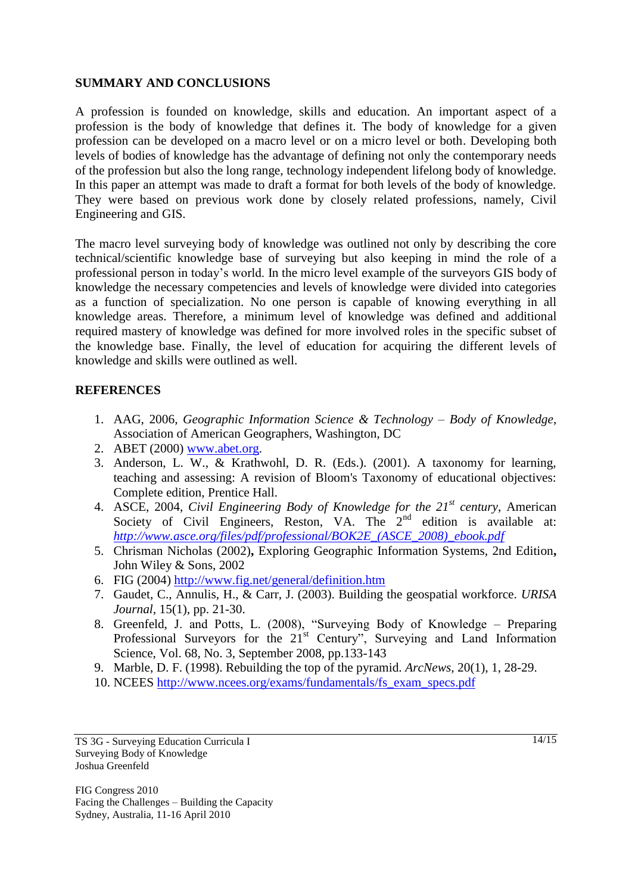## **SUMMARY AND CONCLUSIONS**

A profession is founded on knowledge, skills and education. An important aspect of a profession is the body of knowledge that defines it. The body of knowledge for a given profession can be developed on a macro level or on a micro level or both. Developing both levels of bodies of knowledge has the advantage of defining not only the contemporary needs of the profession but also the long range, technology independent lifelong body of knowledge. In this paper an attempt was made to draft a format for both levels of the body of knowledge. They were based on previous work done by closely related professions, namely, Civil Engineering and GIS.

The macro level surveying body of knowledge was outlined not only by describing the core technical/scientific knowledge base of surveying but also keeping in mind the role of a professional person in today"s world. In the micro level example of the surveyors GIS body of knowledge the necessary competencies and levels of knowledge were divided into categories as a function of specialization. No one person is capable of knowing everything in all knowledge areas. Therefore, a minimum level of knowledge was defined and additional required mastery of knowledge was defined for more involved roles in the specific subset of the knowledge base. Finally, the level of education for acquiring the different levels of knowledge and skills were outlined as well.

## **REFERENCES**

- 1. AAG, 2006, *Geographic Information Science & Technology – Body of Knowledge*, Association of American Geographers, Washington, DC
- 2. ABET (2000) [www.abet.org.](http://www.abet.org/)
- 3. Anderson, L. W., & Krathwohl, D. R. (Eds.). (2001). A taxonomy for learning, teaching and assessing: A revision of Bloom's Taxonomy of educational objectives: Complete edition, Prentice Hall.
- 4. ASCE, 2004, *Civil Engineering Body of Knowledge for the 21st century*, American Society of Civil Engineers, Reston, VA. The 2<sup>nd</sup> edition is available at: *[http://www.asce.org/files/pdf/professional/BOK2E\\_\(ASCE\\_2008\)\\_ebook.pdf](http://www.asce.org/files/pdf/professional/BOK2E_(ASCE_2008)_ebook.pdf)*
- 5. Chrisman Nicholas (2002)**,** Exploring Geographic Information Systems, 2nd Edition**,**  John Wiley & Sons, 2002
- 6. FIG (2004)<http://www.fig.net/general/definition.htm>
- 7. Gaudet, C., Annulis, H., & Carr, J. (2003). Building the geospatial workforce. *URISA Journal,* 15(1), pp. 21-30.
- 8. Greenfeld, J. and Potts, L. (2008), "Surveying Body of Knowledge Preparing Professional Surveyors for the 21<sup>st</sup> Century", Surveying and Land Information Science, Vol. 68, No. 3, September 2008, pp.133-143
- 9. Marble, D. F. (1998). Rebuilding the top of the pyramid. *ArcNews,* 20(1), 1, 28-29.
- 10. NCEES [http://www.ncees.org/exams/fundamentals/fs\\_exam\\_specs.pdf](http://www.ncees.org/exams/fundamentals/fs_exam_specs.pdf)

TS 3G - Surveying Education Curricula I Surveying Body of Knowledge Joshua Greenfeld